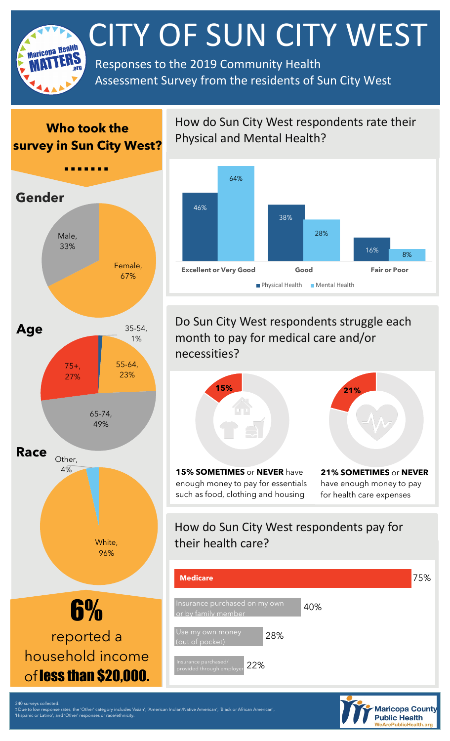

## **Who took the survey in Sun City West?**



How do Sun City West respondents rate their Physical and Mental Health?



Do Sun City West respondents struggle each month to pay for medical care and/or necessities?



**15% SOMETIMES** or **NEVER** have enough money to pay for essentials such as food, clothing and housing



**21% SOMETIMES** or **NEVER**  have enough money to pay for health care expenses

## How do Sun City West respondents pay for their health care?